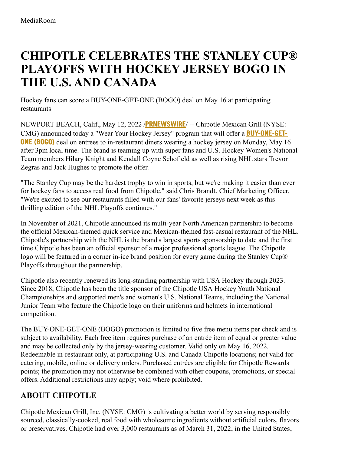## **CHIPOTLE CELEBRATES THE STANLEY CUP® PLAYOFFS WITH HOCKEY JERSEY BOGO IN THE U.S. AND CANADA**

Hockey fans can score a BUY-ONE-GET-ONE (BOGO) deal on May 16 at participating restaurants

NEWPORT BEACH, Calif., May 12, 2022 /**[PRNEWSWIRE](http://www.prnewswire.com/)**/ -- Chipotle Mexican Grill (NYSE: CMG) announced today a "Wear Your Hockey Jersey" program that will offer a **[BUY-ONE-GET-](https://c212.net/c/link/?t=0&l=en&o=3534548-1&h=1303574444&u=https%3A%2F%2Fwww.chipotle.com%2Fbogo&a=BUY-ONE-GET-ONE+(BOGO))ONE (BOGO)** deal on entrees to in-restaurant diners wearing a hockey jersey on Monday, May 16 after 3pm local time. The brand is teaming up with super fans and U.S. Hockey Women's National Team members Hilary Knight and Kendall Coyne Schofield as well as rising NHL stars Trevor Zegras and Jack Hughes to promote the offer.

"The Stanley Cup may be the hardest trophy to win in sports, but we're making it easier than ever for hockey fans to access real food from Chipotle," said Chris Brandt, Chief Marketing Officer. "We're excited to see our restaurants filled with our fans' favorite jerseys next week as this thrilling edition of the NHL Playoffs continues."

In November of 2021, Chipotle announced its multi-year North American partnership to become the official Mexican-themed quick service and Mexican-themed fast-casual restaurant of the NHL. Chipotle's partnership with the NHL is the brand's largest sports sponsorship to date and the first time Chipotle has been an official sponsor of a major professional sports league. The Chipotle logo will be featured in a corner in-ice brand position for every game during the Stanley Cup® Playoffs throughout the partnership.

Chipotle also recently renewed its long-standing partnership with USA Hockey through 2023. Since 2018, Chipotle has been the title sponsor of the Chipotle USA Hockey Youth National Championships and supported men's and women's U.S. National Teams, including the National Junior Team who feature the Chipotle logo on their uniforms and helmets in international competition.

The BUY-ONE-GET-ONE (BOGO) promotion is limited to five free menu items per check and is subject to availability. Each free item requires purchase of an entrée item of equal or greater value and may be collected only by the jersey-wearing customer. Valid only on May 16, 2022. Redeemable in-restaurant only, at participating U.S. and Canada Chipotle locations; not valid for catering, mobile, online or delivery orders. Purchased entrées are eligible for Chipotle Rewards points; the promotion may not otherwise be combined with other coupons, promotions, or special offers. Additional restrictions may apply; void where prohibited.

## **ABOUT CHIPOTLE**

Chipotle Mexican Grill, Inc. (NYSE: CMG) is cultivating a better world by serving responsibly sourced, classically-cooked, real food with wholesome ingredients without artificial colors, flavors or preservatives. Chipotle had over 3,000 restaurants as of March 31, 2022, in the United States,